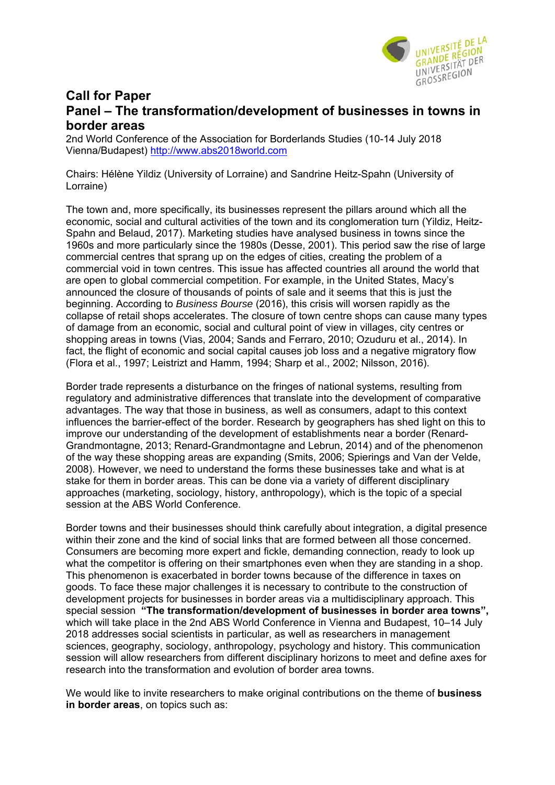

## **Call for Paper Panel – The transformation/development of businesses in towns in border areas**

2nd World Conference of the Association for Borderlands Studies (10-14 July 2018 Vienna/Budapest) http://www.abs2018world.com

Chairs: Hélène Yildiz (University of Lorraine) and Sandrine Heitz-Spahn (University of Lorraine)

The town and, more specifically, its businesses represent the pillars around which all the economic, social and cultural activities of the town and its conglomeration turn (Yildiz, Heitz-Spahn and Belaud, 2017). Marketing studies have analysed business in towns since the 1960s and more particularly since the 1980s (Desse, 2001). This period saw the rise of large commercial centres that sprang up on the edges of cities, creating the problem of a commercial void in town centres. This issue has affected countries all around the world that are open to global commercial competition. For example, in the United States, Macy's announced the closure of thousands of points of sale and it seems that this is just the beginning. According to *Business Bourse* (2016), this crisis will worsen rapidly as the collapse of retail shops accelerates. The closure of town centre shops can cause many types of damage from an economic, social and cultural point of view in villages, city centres or shopping areas in towns (Vias, 2004; Sands and Ferraro, 2010; Ozuduru et al., 2014). In fact, the flight of economic and social capital causes job loss and a negative migratory flow (Flora et al., 1997; Leistrizt and Hamm, 1994; Sharp et al., 2002; Nilsson, 2016).

Border trade represents a disturbance on the fringes of national systems, resulting from regulatory and administrative differences that translate into the development of comparative advantages. The way that those in business, as well as consumers, adapt to this context influences the barrier-effect of the border. Research by geographers has shed light on this to improve our understanding of the development of establishments near a border (Renard-Grandmontagne, 2013; Renard-Grandmontagne and Lebrun, 2014) and of the phenomenon of the way these shopping areas are expanding (Smits, 2006; Spierings and Van der Velde, 2008). However, we need to understand the forms these businesses take and what is at stake for them in border areas. This can be done via a variety of different disciplinary approaches (marketing, sociology, history, anthropology), which is the topic of a special session at the ABS World Conference.

Border towns and their businesses should think carefully about integration, a digital presence within their zone and the kind of social links that are formed between all those concerned. Consumers are becoming more expert and fickle, demanding connection, ready to look up what the competitor is offering on their smartphones even when they are standing in a shop. This phenomenon is exacerbated in border towns because of the difference in taxes on goods. To face these major challenges it is necessary to contribute to the construction of development projects for businesses in border areas via a multidisciplinary approach. This special session **"The transformation/development of businesses in border area towns",** which will take place in the 2nd ABS World Conference in Vienna and Budapest, 10–14 July 2018 addresses social scientists in particular, as well as researchers in management sciences, geography, sociology, anthropology, psychology and history. This communication session will allow researchers from different disciplinary horizons to meet and define axes for research into the transformation and evolution of border area towns.

We would like to invite researchers to make original contributions on the theme of **business in border areas**, on topics such as: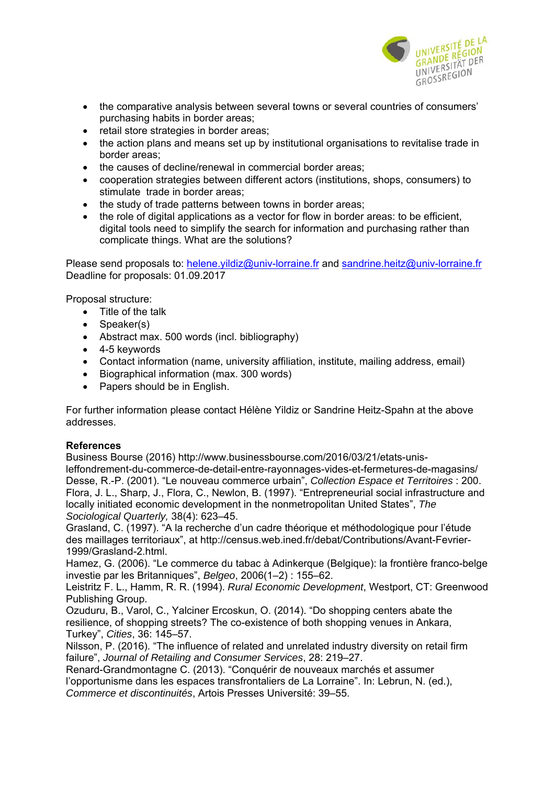

- the comparative analysis between several towns or several countries of consumers' purchasing habits in border areas;
- retail store strategies in border areas;
- the action plans and means set up by institutional organisations to revitalise trade in border areas;
- the causes of decline/renewal in commercial border areas;
- cooperation strategies between different actors (institutions, shops, consumers) to stimulate trade in border areas;
- the study of trade patterns between towns in border areas:
- the role of digital applications as a vector for flow in border areas: to be efficient, digital tools need to simplify the search for information and purchasing rather than complicate things. What are the solutions?

Please send proposals to: helene.yildiz@univ-lorraine.fr and sandrine.heitz@univ-lorraine.fr Deadline for proposals: 01.09.2017

Proposal structure:

- Title of the talk
- Speaker(s)
- Abstract max. 500 words (incl. bibliography)
- 4-5 keywords
- Contact information (name, university affiliation, institute, mailing address, email)
- Biographical information (max. 300 words)
- Papers should be in English.

For further information please contact Hélène Yildiz or Sandrine Heitz-Spahn at the above addresses.

## **References**

Business Bourse (2016) http://www.businessbourse.com/2016/03/21/etats-unisleffondrement-du-commerce-de-detail-entre-rayonnages-vides-et-fermetures-de-magasins/ Desse, R.-P. (2001). "Le nouveau commerce urbain", *Collection Espace et Territoires* : 200. Flora, J. L., Sharp, J., Flora, C., Newlon, B. (1997). "Entrepreneurial social infrastructure and locally initiated economic development in the nonmetropolitan United States", *The Sociological Quarterly,* 38(4): 623–45.

Grasland, C. (1997). "A la recherche d'un cadre théorique et méthodologique pour l'étude des maillages territoriaux", at http://census.web.ined.fr/debat/Contributions/Avant-Fevrier-1999/Grasland-2.html.

Hamez, G. (2006). "Le commerce du tabac à Adinkerque (Belgique): la frontière franco-belge investie par les Britanniques", *Belgeo*, 2006(1–2) : 155–62.

Leistritz F. L., Hamm, R. R. (1994). *Rural Economic Development*, Westport, CT: Greenwood Publishing Group.

Ozuduru, B., Varol, C., Yalciner Ercoskun, O. (2014). "Do shopping centers abate the resilience, of shopping streets? The co-existence of both shopping venues in Ankara, Turkey", *Cities*, 36: 145–57.

Nilsson, P. (2016). "The influence of related and unrelated industry diversity on retail firm failure", *Journal of Retailing and Consumer Services*, 28: 219–27.

Renard-Grandmontagne C. (2013). "Conquérir de nouveaux marchés et assumer l'opportunisme dans les espaces transfrontaliers de La Lorraine". In: Lebrun, N. (ed.), *Commerce et discontinuités*, Artois Presses Université: 39–55.